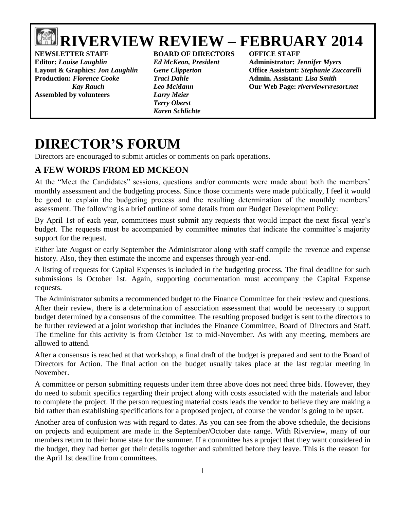# **RIVERVIEW REVIEW – FEBRUARY 2014**

**NEWSLETTER STAFF BOARD OF DIRECTORS OFFICE STAFF Editor:** *Louise Laughlin Ed McKeon, President* **Administrator:** *Jennifer Myers* **Production:** *Florence Cooke Traci Dahle* **Admin. Assistant:** *Lisa Smith* **Assembled by volunteers** *Larry Meier*

*Terry Oberst Karen Schlichte*

**Layout & Graphics:** *Jon Laughlin Gene Clipperton* **Office Assistant:** *Stephanie Zuccarelli Kay Rauch Leo McMann* **Our Web Page:** *riverviewrvresort.net*

# **DIRECTOR'S FORUM**

Directors are encouraged to submit articles or comments on park operations.

# **A FEW WORDS FROM ED MCKEON**

At the "Meet the Candidates" sessions, questions and/or comments were made about both the members' monthly assessment and the budgeting process. Since those comments were made publically, I feel it would be good to explain the budgeting process and the resulting determination of the monthly members' assessment. The following is a brief outline of some details from our Budget Development Policy:

By April 1st of each year, committees must submit any requests that would impact the next fiscal year's budget. The requests must be accompanied by committee minutes that indicate the committee's majority support for the request.

Either late August or early September the Administrator along with staff compile the revenue and expense history. Also, they then estimate the income and expenses through year-end.

A listing of requests for Capital Expenses is included in the budgeting process. The final deadline for such submissions is October 1st. Again, supporting documentation must accompany the Capital Expense requests.

The Administrator submits a recommended budget to the Finance Committee for their review and questions. After their review, there is a determination of association assessment that would be necessary to support budget determined by a consensus of the committee. The resulting proposed budget is sent to the directors to be further reviewed at a joint workshop that includes the Finance Committee, Board of Directors and Staff. The timeline for this activity is from October 1st to mid-November. As with any meeting, members are allowed to attend.

After a consensus is reached at that workshop, a final draft of the budget is prepared and sent to the Board of Directors for Action. The final action on the budget usually takes place at the last regular meeting in November.

A committee or person submitting requests under item three above does not need three bids. However, they do need to submit specifics regarding their project along with costs associated with the materials and labor to complete the project. If the person requesting material costs leads the vendor to believe they are making a bid rather than establishing specifications for a proposed project, of course the vendor is going to be upset.

Another area of confusion was with regard to dates. As you can see from the above schedule, the decisions on projects and equipment are made in the September/October date range. With Riverview, many of our members return to their home state for the summer. If a committee has a project that they want considered in the budget, they had better get their details together and submitted before they leave. This is the reason for the April 1st deadline from committees.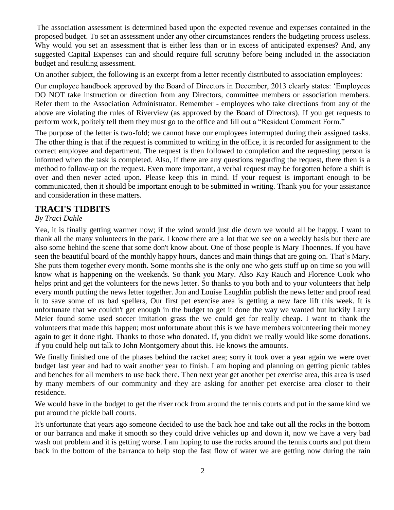The association assessment is determined based upon the expected revenue and expenses contained in the proposed budget. To set an assessment under any other circumstances renders the budgeting process useless. Why would you set an assessment that is either less than or in excess of anticipated expenses? And, any suggested Capital Expenses can and should require full scrutiny before being included in the association budget and resulting assessment.

On another subject, the following is an excerpt from a letter recently distributed to association employees:

Our employee handbook approved by the Board of Directors in December, 2013 clearly states: 'Employees DO NOT take instruction or direction from any Directors, committee members or association members. Refer them to the Association Administrator. Remember - employees who take directions from any of the above are violating the rules of Riverview (as approved by the Board of Directors). If you get requests to perform work, politely tell them they must go to the office and fill out a "Resident Comment Form."

The purpose of the letter is two-fold; we cannot have our employees interrupted during their assigned tasks. The other thing is that if the request is committed to writing in the office, it is recorded for assignment to the correct employee and department. The request is then followed to completion and the requesting person is informed when the task is completed. Also, if there are any questions regarding the request, there then is a method to follow-up on the request. Even more important, a verbal request may be forgotten before a shift is over and then never acted upon. Please keep this in mind. If your request is important enough to be communicated, then it should be important enough to be submitted in writing. Thank you for your assistance and consideration in these matters.

#### **TRACI'S TIDBITS**

#### *By Traci Dahle*

Yea, it is finally getting warmer now; if the wind would just die down we would all be happy. I want to thank all the many volunteers in the park. I know there are a lot that we see on a weekly basis but there are also some behind the scene that some don't know about. One of those people is Mary Thoennes. If you have seen the beautiful board of the monthly happy hours, dances and main things that are going on. That's Mary. She puts them together every month. Some months she is the only one who gets stuff up on time so you will know what is happening on the weekends. So thank you Mary. Also Kay Rauch and Florence Cook who helps print and get the volunteers for the news letter. So thanks to you both and to your volunteers that help every month putting the news letter together. Jon and Louise Laughlin publish the news letter and proof read it to save some of us bad spellers, Our first pet exercise area is getting a new face lift this week. It is unfortunate that we couldn't get enough in the budget to get it done the way we wanted but luckily Larry Meier found some used soccer imitation grass the we could get for really cheap. I want to thank the volunteers that made this happen; most unfortunate about this is we have members volunteering their money again to get it done right. Thanks to those who donated. If, you didn't we really would like some donations. If you could help out talk to John Montgomery about this. He knows the amounts.

We finally finished one of the phases behind the racket area; sorry it took over a year again we were over budget last year and had to wait another year to finish. I am hoping and planning on getting picnic tables and benches for all members to use back there. Then next year get another pet exercise area, this area is used by many members of our community and they are asking for another pet exercise area closer to their residence.

We would have in the budget to get the river rock from around the tennis courts and put in the same kind we put around the pickle ball courts.

It's unfortunate that years ago someone decided to use the back hoe and take out all the rocks in the bottom or our barranca and make it smooth so they could drive vehicles up and down it, now we have a very bad wash out problem and it is getting worse. I am hoping to use the rocks around the tennis courts and put them back in the bottom of the barranca to help stop the fast flow of water we are getting now during the rain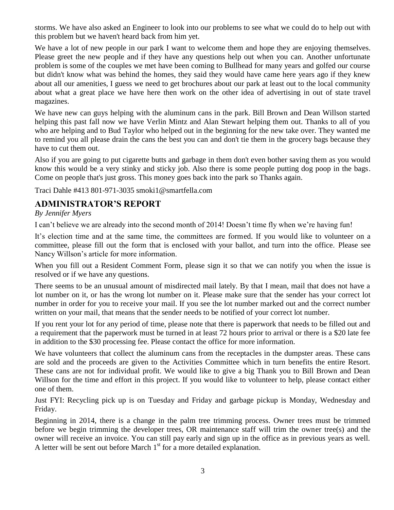storms. We have also asked an Engineer to look into our problems to see what we could do to help out with this problem but we haven't heard back from him yet.

We have a lot of new people in our park I want to welcome them and hope they are enjoying themselves. Please greet the new people and if they have any questions help out when you can. Another unfortunate problem is some of the couples we met have been coming to Bullhead for many years and golfed our course but didn't know what was behind the homes, they said they would have came here years ago if they knew about all our amenities, I guess we need to get brochures about our park at least out to the local community about what a great place we have here then work on the other idea of advertising in out of state travel magazines.

We have new can guys helping with the aluminum cans in the park. Bill Brown and Dean Willson started helping this past fall now we have Verlin Mintz and Alan Stewart helping them out. Thanks to all of you who are helping and to Bud Taylor who helped out in the beginning for the new take over. They wanted me to remind you all please drain the cans the best you can and don't tie them in the grocery bags because they have to cut them out.

Also if you are going to put cigarette butts and garbage in them don't even bother saving them as you would know this would be a very stinky and sticky job. Also there is some people putting dog poop in the bags. Come on people that's just gross. This money goes back into the park so Thanks again.

Traci Dahle #413 801-971-3035 smoki1@smartfella.com

## **ADMINISTRATOR'S REPORT**

#### *By Jennifer Myers*

I can't believe we are already into the second month of 2014! Doesn't time fly when we're having fun!

It's election time and at the same time, the committees are formed. If you would like to volunteer on a committee, please fill out the form that is enclosed with your ballot, and turn into the office. Please see Nancy Willson's article for more information.

When you fill out a Resident Comment Form, please sign it so that we can notify you when the issue is resolved or if we have any questions.

There seems to be an unusual amount of misdirected mail lately. By that I mean, mail that does not have a lot number on it, or has the wrong lot number on it. Please make sure that the sender has your correct lot number in order for you to receive your mail. If you see the lot number marked out and the correct number written on your mail, that means that the sender needs to be notified of your correct lot number.

If you rent your lot for any period of time, please note that there is paperwork that needs to be filled out and a requirement that the paperwork must be turned in at least 72 hours prior to arrival or there is a \$20 late fee in addition to the \$30 processing fee. Please contact the office for more information.

We have volunteers that collect the aluminum cans from the receptacles in the dumpster areas. These cans are sold and the proceeds are given to the Activities Committee which in turn benefits the entire Resort. These cans are not for individual profit. We would like to give a big Thank you to Bill Brown and Dean Willson for the time and effort in this project. If you would like to volunteer to help, please contact either one of them.

Just FYI: Recycling pick up is on Tuesday and Friday and garbage pickup is Monday, Wednesday and Friday.

Beginning in 2014, there is a change in the palm tree trimming process. Owner trees must be trimmed before we begin trimming the developer trees, OR maintenance staff will trim the owner tree(s) and the owner will receive an invoice. You can still pay early and sign up in the office as in previous years as well. A letter will be sent out before March  $1<sup>st</sup>$  for a more detailed explanation.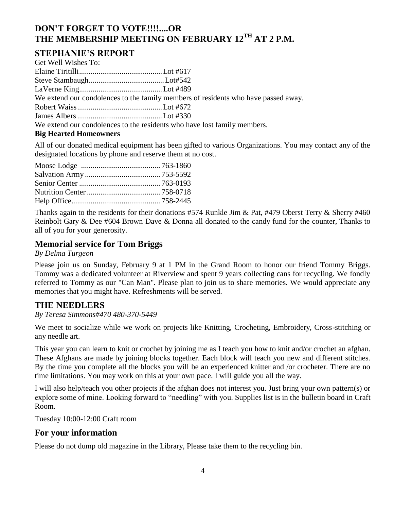# **DON'T FORGET TO VOTE!!!!....OR THE MEMBERSHIP MEETING ON FEBRUARY 12TH AT 2 P.M.**

# **STEPHANIE'S REPORT**

| We extend our condolences to the family members of residents who have passed away. |
|------------------------------------------------------------------------------------|
|                                                                                    |
|                                                                                    |
| We extend our condolences to the residents who have lost family members.           |
|                                                                                    |

#### **Big Hearted Homeowners**

All of our donated medical equipment has been gifted to various Organizations. You may contact any of the designated locations by phone and reserve them at no cost.

Thanks again to the residents for their donations #574 Runkle Jim & Pat, #479 Oberst Terry & Sherry #460 Reinbolt Gary & Dee #604 Brown Dave & Donna all donated to the candy fund for the counter, Thanks to all of you for your generosity.

# **Memorial service for Tom Briggs**

*By Delma Turgeon*

Please join us on Sunday, February 9 at 1 PM in the Grand Room to honor our friend Tommy Briggs. Tommy was a dedicated volunteer at Riverview and spent 9 years collecting cans for recycling. We fondly referred to Tommy as our "Can Man". Please plan to join us to share memories. We would appreciate any memories that you might have. Refreshments will be served.

## **THE NEEDLERS**

*By Teresa Simmons#470 480-370-5449*

We meet to socialize while we work on projects like Knitting, Crocheting, Embroidery, Cross-stitching or any needle art.

This year you can learn to knit or crochet by joining me as I teach you how to knit and/or crochet an afghan. These Afghans are made by joining blocks together. Each block will teach you new and different stitches. By the time you complete all the blocks you will be an experienced knitter and /or crocheter. There are no time limitations. You may work on this at your own pace. I will guide you all the way.

I will also help/teach you other projects if the afghan does not interest you. Just bring your own pattern(s) or explore some of mine. Looking forward to "needling" with you. Supplies list is in the bulletin board in Craft Room.

Tuesday 10:00-12:00 Craft room

## **For your information**

Please do not dump old magazine in the Library, Please take them to the recycling bin.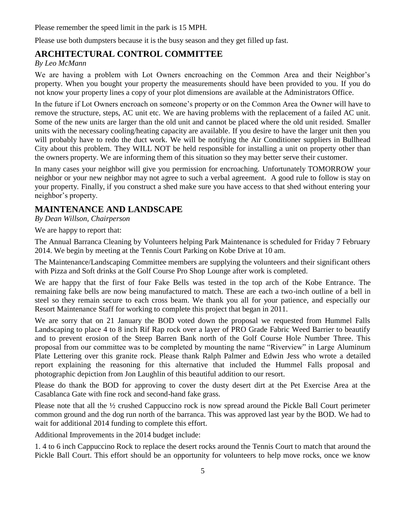Please remember the speed limit in the park is 15 MPH.

Please use both dumpsters because it is the busy season and they get filled up fast.

# **ARCHITECTURAL CONTROL COMMITTEE**

#### *By Leo McMann*

We are having a problem with Lot Owners encroaching on the Common Area and their Neighbor's property. When you bought your property the measurements should have been provided to you. If you do not know your property lines a copy of your plot dimensions are available at the Administrators Office.

In the future if Lot Owners encroach on someone's property or on the Common Area the Owner will have to remove the structure, steps, AC unit etc. We are having problems with the replacement of a failed AC unit. Some of the new units are larger than the old unit and cannot be placed where the old unit resided. Smaller units with the necessary cooling/heating capacity are available. If you desire to have the larger unit then you will probably have to redo the duct work. We will be notifying the Air Conditioner suppliers in Bullhead City about this problem. They WILL NOT be held responsible for installing a unit on property other than the owners property. We are informing them of this situation so they may better serve their customer.

In many cases your neighbor will give you permission for encroaching. Unfortunately TOMORROW your neighbor or your new neighbor may not agree to such a verbal agreement. A good rule to follow is stay on your property. Finally, if you construct a shed make sure you have access to that shed without entering your neighbor's property.

# **MAINTENANCE AND LANDSCAPE**

*By Dean Willson, Chairperson*

We are happy to report that:

The Annual Barranca Cleaning by Volunteers helping Park Maintenance is scheduled for Friday 7 February 2014. We begin by meeting at the Tennis Court Parking on Kobe Drive at 10 am.

The Maintenance/Landscaping Committee members are supplying the volunteers and their significant others with Pizza and Soft drinks at the Golf Course Pro Shop Lounge after work is completed.

We are happy that the first of four Fake Bells was tested in the top arch of the Kobe Entrance. The remaining fake bells are now being manufactured to match. These are each a two-inch outline of a bell in steel so they remain secure to each cross beam. We thank you all for your patience, and especially our Resort Maintenance Staff for working to complete this project that began in 2011.

We are sorry that on 21 January the BOD voted down the proposal we requested from Hummel Falls Landscaping to place 4 to 8 inch Rif Rap rock over a layer of PRO Grade Fabric Weed Barrier to beautify and to prevent erosion of the Steep Barren Bank north of the Golf Course Hole Number Three. This proposal from our committee was to be completed by mounting the name "Riverview" in Large Aluminum Plate Lettering over this granite rock. Please thank Ralph Palmer and Edwin Jess who wrote a detailed report explaining the reasoning for this alternative that included the Hummel Falls proposal and photographic depiction from Jon Laughlin of this beautiful addition to our resort.

Please do thank the BOD for approving to cover the dusty desert dirt at the Pet Exercise Area at the Casablanca Gate with fine rock and second-hand fake grass.

Please note that all the ½ crushed Cappuccino rock is now spread around the Pickle Ball Court perimeter common ground and the dog run north of the barranca. This was approved last year by the BOD. We had to wait for additional 2014 funding to complete this effort.

Additional Improvements in the 2014 budget include:

1. 4 to 6 inch Cappuccino Rock to replace the desert rocks around the Tennis Court to match that around the Pickle Ball Court. This effort should be an opportunity for volunteers to help move rocks, once we know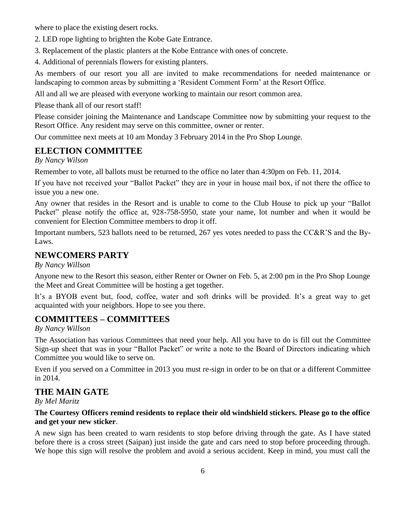where to place the existing desert rocks.

- 2. LED rope lighting to brighten the Kobe Gate Entrance.
- 3. Replacement of the plastic planters at the Kobe Entrance with ones of concrete.
- 4. Additional of perennials flowers for existing planters.

As members of our resort you all are invited to make recommendations for needed maintenance or landscaping to common areas by submitting a 'Resident Comment Form' at the Resort Office.

All and all we are pleased with everyone working to maintain our resort common area.

Please thank all of our resort staff!

Please consider joining the Maintenance and Landscape Committee now by submitting your request to the Resort Office. Any resident may serve on this committee, owner or renter.

Our committee next meets at 10 am Monday 3 February 2014 in the Pro Shop Lounge.

## **ELECTION COMMITTEE**

*By Nancy Wilson*

Remember to vote, all ballots must be returned to the office no later than 4:30pm on Feb. 11, 2014.

If you have not received your "Ballot Packet" they are in your in house mail box, if not there the office to issue you a new one.

Any owner that resides in the Resort and is unable to come to the Club House to pick up your "Ballot Packet" please notify the office at, 928-758-5950, state your name, lot number and when it would be convenient for Election Committee members to drop it off.

Important numbers, 523 ballots need to be returned, 267 yes votes needed to pass the CC&R'S and the By-Laws.

# **NEWCOMERS PARTY**

*By Nancy Willson*

Anyone new to the Resort this season, either Renter or Owner on Feb. 5, at 2:00 pm in the Pro Shop Lounge the Meet and Great Committee will be hosting a get together.

It's a BYOB event but, food, coffee, water and soft drinks will be provided. It's a great way to get acquainted with your neighbors. Hope to see you there.

# **COMMITTEES – COMMITTEES**

*By Nancy Willson*

The Association has various Committees that need your help. All you have to do is fill out the Committee Sign-up sheet that was in your "Ballot Packet" or write a note to the Board of Directors indicating which Committee you would like to serve on.

Even if you served on a Committee in 2013 you must re-sign in order to be on that or a different Committee in 2014.

## **THE MAIN GATE**

*By Mel Maritz*

#### **The Courtesy Officers remind residents to replace their old windshield stickers. Please go to the office and get your new sticker**.

A new sign has been created to warn residents to stop before driving through the gate. As I have stated before there is a cross street (Saipan) just inside the gate and cars need to stop before proceeding through. We hope this sign will resolve the problem and avoid a serious accident. Keep in mind, you must call the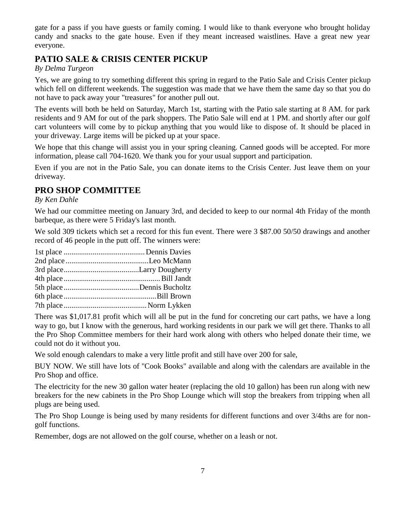gate for a pass if you have guests or family coming. I would like to thank everyone who brought holiday candy and snacks to the gate house. Even if they meant increased waistlines. Have a great new year everyone.

# **PATIO SALE & CRISIS CENTER PICKUP**

*By Delma Turgeon*

Yes, we are going to try something different this spring in regard to the Patio Sale and Crisis Center pickup which fell on different weekends. The suggestion was made that we have them the same day so that you do not have to pack away your "treasures" for another pull out.

The events will both be held on Saturday, March 1st, starting with the Patio sale starting at 8 AM. for park residents and 9 AM for out of the park shoppers. The Patio Sale will end at 1 PM. and shortly after our golf cart volunteers will come by to pickup anything that you would like to dispose of. It should be placed in your driveway. Large items will be picked up at your space.

We hope that this change will assist you in your spring cleaning. Canned goods will be accepted. For more information, please call 704-1620. We thank you for your usual support and participation.

Even if you are not in the Patio Sale, you can donate items to the Crisis Center. Just leave them on your driveway.

# **PRO SHOP COMMITTEE**

*By Ken Dahle*

We had our committee meeting on January 3rd, and decided to keep to our normal 4th Friday of the month barbeque, as there were 5 Friday's last month.

We sold 309 tickets which set a record for this fun event. There were 3 \$87.00 50/50 drawings and another record of 46 people in the putt off. The winners were:

There was \$1,017.81 profit which will all be put in the fund for concreting our cart paths, we have a long way to go, but I know with the generous, hard working residents in our park we will get there. Thanks to all the Pro Shop Committee members for their hard work along with others who helped donate their time, we could not do it without you.

We sold enough calendars to make a very little profit and still have over 200 for sale,

BUY NOW. We still have lots of "Cook Books" available and along with the calendars are available in the Pro Shop and office.

The electricity for the new 30 gallon water heater (replacing the old 10 gallon) has been run along with new breakers for the new cabinets in the Pro Shop Lounge which will stop the breakers from tripping when all plugs are being used.

The Pro Shop Lounge is being used by many residents for different functions and over 3/4ths are for nongolf functions.

Remember, dogs are not allowed on the golf course, whether on a leash or not.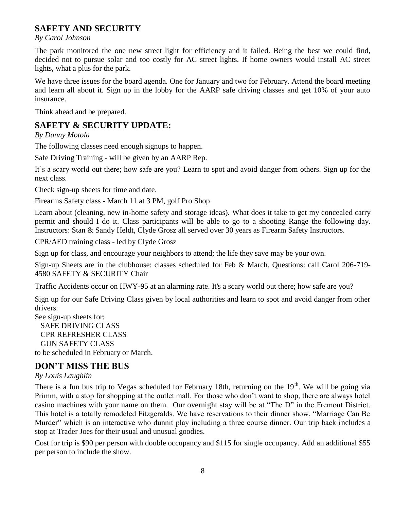# **SAFETY AND SECURITY**

*By Carol Johnson*

The park monitored the one new street light for efficiency and it failed. Being the best we could find, decided not to pursue solar and too costly for AC street lights. If home owners would install AC street lights, what a plus for the park.

We have three issues for the board agenda. One for January and two for February. Attend the board meeting and learn all about it. Sign up in the lobby for the AARP safe driving classes and get 10% of your auto insurance.

Think ahead and be prepared.

#### **SAFETY & SECURITY UPDATE:**

*By Danny Motola*

The following classes need enough signups to happen.

Safe Driving Training - will be given by an AARP Rep.

It's a scary world out there; how safe are you? Learn to spot and avoid danger from others. Sign up for the next class.

Check sign-up sheets for time and date.

Firearms Safety class - March 11 at 3 PM, golf Pro Shop

Learn about (cleaning, new in-home safety and storage ideas). What does it take to get my concealed carry permit and should I do it. Class participants will be able to go to a shooting Range the following day. Instructors: Stan & Sandy Heldt, Clyde Grosz all served over 30 years as Firearm Safety Instructors.

CPR/AED training class - led by Clyde Grosz

Sign up for class, and encourage your neighbors to attend; the life they save may be your own.

Sign-up Sheets are in the clubhouse: classes scheduled for Feb & March. Questions: call Carol 206-719- 4580 SAFETY & SECURITY Chair

Traffic Accidents occur on HWY-95 at an alarming rate. It's a scary world out there; how safe are you?

Sign up for our Safe Driving Class given by local authorities and learn to spot and avoid danger from other drivers.

See sign-up sheets for; SAFE DRIVING CLASS CPR REFRESHER CLASS GUN SAFETY CLASS to be scheduled in February or March.

## **DON'T MISS THE BUS**

#### *By Louis Laughlin*

There is a fun bus trip to Vegas scheduled for February 18th, returning on the  $19<sup>th</sup>$ . We will be going via Primm, with a stop for shopping at the outlet mall. For those who don't want to shop, there are always hotel casino machines with your name on them. Our overnight stay will be at "The D" in the Fremont District. This hotel is a totally remodeled Fitzgeralds. We have reservations to their dinner show, "Marriage Can Be Murder" which is an interactive who dunnit play including a three course dinner. Our trip back includes a stop at Trader Joes for their usual and unusual goodies.

Cost for trip is \$90 per person with double occupancy and \$115 for single occupancy. Add an additional \$55 per person to include the show.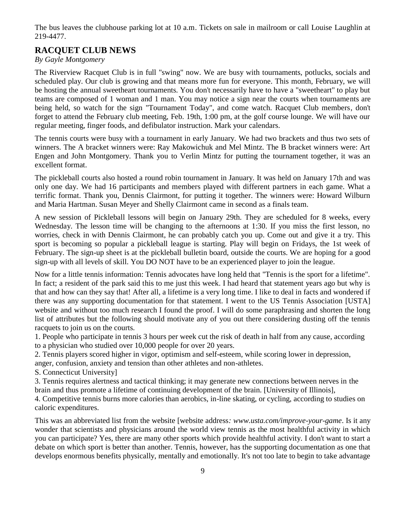The bus leaves the clubhouse parking lot at 10 a.m. Tickets on sale in mailroom or call Louise Laughlin at 219-4477.

# **RACQUET CLUB NEWS**

#### *By Gayle Montgomery*

The Riverview Racquet Club is in full "swing" now. We are busy with tournaments, potlucks, socials and scheduled play. Our club is growing and that means more fun for everyone. This month, February, we will be hosting the annual sweetheart tournaments. You don't necessarily have to have a "sweetheart" to play but teams are composed of 1 woman and 1 man. You may notice a sign near the courts when tournaments are being held, so watch for the sign "Tournament Today", and come watch. Racquet Club members, don't forget to attend the February club meeting, Feb. 19th, 1:00 pm, at the golf course lounge. We will have our regular meeting, finger foods, and defibulator instruction. Mark your calendars.

The tennis courts were busy with a tournament in early January. We had two brackets and thus two sets of winners. The A bracket winners were: Ray Makowichuk and Mel Mintz. The B bracket winners were: Art Engen and John Montgomery. Thank you to Verlin Mintz for putting the tournament together, it was an excellent format.

The pickleball courts also hosted a round robin tournament in January. It was held on January 17th and was only one day. We had 16 participants and members played with different partners in each game. What a terrific format. Thank you, Dennis Clairmont, for putting it together. The winners were: Howard Wilburn and Maria Hartman. Susan Meyer and Shelly Clairmont came in second as a finals team.

A new session of Pickleball lessons will begin on January 29th. They are scheduled for 8 weeks, every Wednesday. The lesson time will be changing to the afternoons at 1:30. If you miss the first lesson, no worries, check in with Dennis Clairmont, he can probably catch you up. Come out and give it a try. This sport is becoming so popular a pickleball league is starting. Play will begin on Fridays, the 1st week of February. The sign-up sheet is at the pickleball bulletin board, outside the courts. We are hoping for a good sign-up with all levels of skill. You DO NOT have to be an experienced player to join the league.

Now for a little tennis information: Tennis advocates have long held that "Tennis is the sport for a lifetime". In fact; a resident of the park said this to me just this week. I had heard that statement years ago but why is that and how can they say that! After all, a lifetime is a very long time. I like to deal in facts and wondered if there was any supporting documentation for that statement. I went to the US Tennis Association [USTA] website and without too much research I found the proof. I will do some paraphrasing and shorten the long list of attributes but the following should motivate any of you out there considering dusting off the tennis racquets to join us on the courts.

1. People who participate in tennis 3 hours per week cut the risk of death in half from any cause, according to a physician who studied over 10,000 people for over 20 years.

2. Tennis players scored higher in vigor, optimism and self-esteem, while scoring lower in depression, anger, confusion, anxiety and tension than other athletes and non-athletes.

S. Connecticut University]

3. Tennis requires alertness and tactical thinking; it may generate new connections between nerves in the brain and thus promote a lifetime of continuing development of the brain. [University of Illinois],

4. Competitive tennis burns more calories than aerobics, in-line skating, or cycling, according to studies on caloric expenditures.

This was an abbreviated list from the website [website address*:<www.usta.com/improve-your-game>*. Is it any wonder that scientists and physicians around the world view tennis as the most healthful activity in which you can participate? Yes, there are many other sports which provide healthful activity. I don't want to start a debate on which sport is better than another. Tennis, however, has the supporting documentation as one that develops enormous benefits physically, mentally and emotionally. It's not too late to begin to take advantage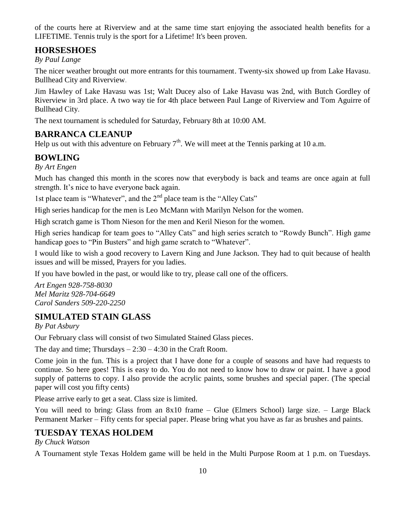of the courts here at Riverview and at the same time start enjoying the associated health benefits for a LIFETIME. Tennis truly is the sport for a Lifetime! It's been proven.

# **HORSESHOES**

#### *By Paul Lange*

The nicer weather brought out more entrants for this tournament. Twenty-six showed up from Lake Havasu. Bullhead City and Riverview.

Jim Hawley of Lake Havasu was 1st; Walt Ducey also of Lake Havasu was 2nd, with Butch Gordley of Riverview in 3rd place. A two way tie for 4th place between Paul Lange of Riverview and Tom Aguirre of Bullhead City.

The next tournament is scheduled for Saturday, February 8th at 10:00 AM.

# **BARRANCA CLEANUP**

Help us out with this adventure on February  $7<sup>th</sup>$ . We will meet at the Tennis parking at 10 a.m.

## **BOWLING**

*By Art Engen*

Much has changed this month in the scores now that everybody is back and teams are once again at full strength. It's nice to have everyone back again.

1st place team is "Whatever", and the 2<sup>nd</sup> place team is the "Alley Cats"

High series handicap for the men is Leo McMann with Marilyn Nelson for the women.

High scratch game is Thom Nieson for the men and Keril Nieson for the women.

High series handicap for team goes to "Alley Cats" and high series scratch to "Rowdy Bunch". High game handicap goes to "Pin Busters" and high game scratch to "Whatever".

I would like to wish a good recovery to Lavern King and June Jackson. They had to quit because of health issues and will be missed, Prayers for you ladies.

If you have bowled in the past, or would like to try, please call one of the officers.

*Art Engen 928-758-8030 Mel Maritz 928-704-6649 Carol Sanders 509-220-2250*

## **SIMULATED STAIN GLASS**

*By Pat Asbury*

Our February class will consist of two Simulated Stained Glass pieces.

The day and time; Thursdays  $-2:30 - 4:30$  in the Craft Room.

Come join in the fun. This is a project that I have done for a couple of seasons and have had requests to continue. So here goes! This is easy to do. You do not need to know how to draw or paint. I have a good supply of patterns to copy. I also provide the acrylic paints, some brushes and special paper. (The special paper will cost you fifty cents)

Please arrive early to get a seat. Class size is limited.

You will need to bring: Glass from an 8x10 frame – Glue (Elmers School) large size. – Large Black Permanent Marker – Fifty cents for special paper. Please bring what you have as far as brushes and paints.

# **TUESDAY TEXAS HOLDEM**

*By Chuck Watson*

A Tournament style Texas Holdem game will be held in the Multi Purpose Room at 1 p.m. on Tuesdays.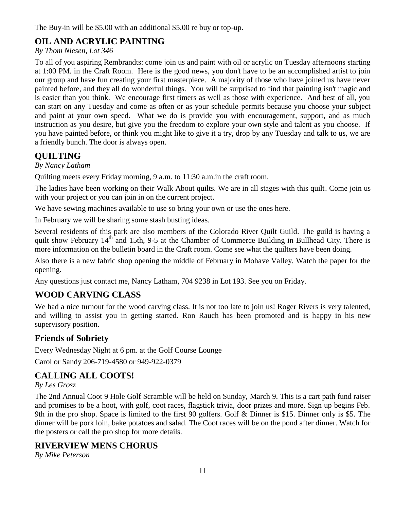The Buy-in will be \$5.00 with an additional \$5.00 re buy or top-up.

# **OIL AND ACRYLIC PAINTING**

#### *By Thom Niesen, Lot 346*

To all of you aspiring Rembrandts: come join us and paint with oil or acrylic on Tuesday afternoons starting at 1:00 PM. in the Craft Room. Here is the good news, you don't have to be an accomplished artist to join our group and have fun creating your first masterpiece. A majority of those who have joined us have never painted before, and they all do wonderful things. You will be surprised to find that painting isn't magic and is easier than you think. We encourage first timers as well as those with experience. And best of all, you can start on any Tuesday and come as often or as your schedule permits because you choose your subject and paint at your own speed. What we do is provide you with encouragement, support, and as much instruction as you desire, but give you the freedom to explore your own style and talent as you choose. If you have painted before, or think you might like to give it a try, drop by any Tuesday and talk to us, we are a friendly bunch. The door is always open.

# **QUILTING**

#### *By Nancy Latham*

Quilting meets every Friday morning, 9 a.m. to 11:30 a.m.in the craft room.

The ladies have been working on their Walk About quilts. We are in all stages with this quilt. Come join us with your project or you can join in on the current project.

We have sewing machines available to use so bring your own or use the ones here.

In February we will be sharing some stash busting ideas.

Several residents of this park are also members of the Colorado River Quilt Guild. The guild is having a quilt show February 14<sup>th</sup> and 15th, 9-5 at the Chamber of Commerce Building in Bullhead City. There is more information on the bulletin board in the Craft room. Come see what the quilters have been doing.

Also there is a new fabric shop opening the middle of February in Mohave Valley. Watch the paper for the opening.

Any questions just contact me, Nancy Latham, 704 9238 in Lot 193. See you on Friday.

# **WOOD CARVING CLASS**

We had a nice turnout for the wood carving class. It is not too late to join us! Roger Rivers is very talented, and willing to assist you in getting started. Ron Rauch has been promoted and is happy in his new supervisory position.

# **Friends of Sobriety**

Every Wednesday Night at 6 pm. at the Golf Course Lounge Carol or Sandy 206-719-4580 or 949-922-0379

# **CALLING ALL COOTS!**

#### *By Les Grosz*

The 2nd Annual Coot 9 Hole Golf Scramble will be held on Sunday, March 9. This is a cart path fund raiser and promises to be a hoot, with golf, coot races, flagstick trivia, door prizes and more. Sign up begins Feb. 9th in the pro shop. Space is limited to the first 90 golfers. Golf & Dinner is \$15. Dinner only is \$5. The dinner will be pork loin, bake potatoes and salad. The Coot races will be on the pond after dinner. Watch for the posters or call the pro shop for more details.

## **RIVERVIEW MENS CHORUS**

*By Mike Peterson*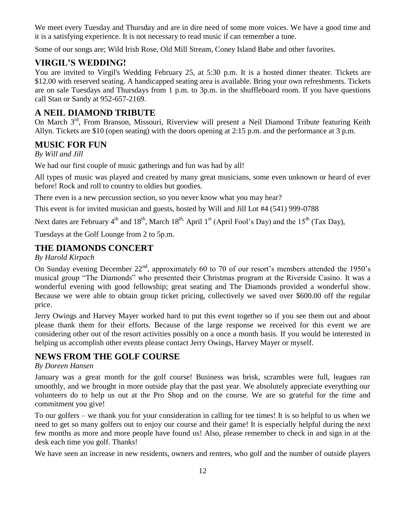We meet every Tuesday and Thursday and are in dire need of some more voices. We have a good time and it is a satisfying experience. It is not necessary to read music if can remember a tune.

Some of our songs are; Wild Irish Rose, Old Mill Stream, Coney Island Babe and other favorites.

# **VIRGIL'S WEDDING!**

You are invited to Virgil's Wedding February 25, at 5:30 p.m. It is a hosted dinner theater. Tickets are \$12.00 with reserved seating. A handicapped seating area is available. Bring your own refreshments. Tickets are on sale Tuesdays and Thursdays from 1 p.m. to 3p.m. in the shuffleboard room. If you have questions call Stan or Sandy at 952-657-2169.

# **A NEIL DIAMOND TRIBUTE**

On March 3<sup>rd</sup>, From Branson, Missouri, Riverview will present a Neil Diamond Tribute featuring Keith Allyn. Tickets are \$10 (open seating) with the doors opening at 2:15 p.m. and the performance at 3 p.m.

## **MUSIC FOR FUN**

*By Will and Jill*

We had our first couple of music gatherings and fun was had by all!

All types of music was played and created by many great musicians, some even unknown or heard of ever before! Rock and roll to country to oldies but goodies.

There even is a new percussion section, so you never know what you may hear?

This event is for invited musician and guests, hosted by Will and Jill Lot #4 (541) 999-0788

Next dates are February  $4<sup>th</sup>$  and  $18<sup>th</sup>$ , March  $18<sup>th</sup>$ , April  $1<sup>st</sup>$  (April Fool's Day) and the  $15<sup>th</sup>$  (Tax Day),

Tuesdays at the Golf Lounge from 2 to 5p.m.

## **THE DIAMONDS CONCERT**

#### *By Harold Kirpach*

On Sunday evening December  $22<sup>nd</sup>$ , approximately 60 to 70 of our resort's members attended the 1950's musical group "The Diamonds" who presented their Christmas program at the Riverside Casino. It was a wonderful evening with good fellowship; great seating and The Diamonds provided a wonderful show. Because we were able to obtain group ticket pricing, collectively we saved over \$600.00 off the regular price.

Jerry Owings and Harvey Mayer worked hard to put this event together so if you see them out and about please thank them for their efforts. Because of the large response we received for this event we are considering other out of the resort activities possibly on a once a month basis. If you would be interested in helping us accomplish other events please contact Jerry Owings, Harvey Mayer or myself.

## **NEWS FROM THE GOLF COURSE**

#### *By Doreen Hansen*

January was a great month for the golf course! Business was brisk, scrambles were full, leagues ran smoothly, and we brought in more outside play that the past year. We absolutely appreciate everything our volunteers do to help us out at the Pro Shop and on the course. We are so grateful for the time and commitment you give!

To our golfers – we thank you for your consideration in calling for tee times! It is so helpful to us when we need to get so many golfers out to enjoy our course and their game! It is especially helpful during the next few months as more and more people have found us! Also, please remember to check in and sign in at the desk each time you golf. Thanks!

We have seen an increase in new residents, owners and renters, who golf and the number of outside players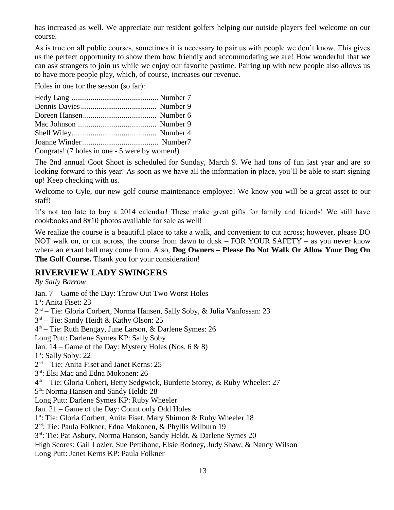has increased as well. We appreciate our resident golfers helping our outside players feel welcome on our course.

As is true on all public courses, sometimes it is necessary to pair us with people we don't know. This gives us the perfect opportunity to show them how friendly and accommodating we are! How wonderful that we can ask strangers to join us while we enjoy our favorite pastime. Pairing up with new people also allows us to have more people play, which, of course, increases our revenue.

Holes in one for the season (so far):

| Congrats! (7 holes in one - 5 were by women!) |  |
|-----------------------------------------------|--|

The 2nd annual Coot Shoot is scheduled for Sunday, March 9. We had tons of fun last year and are so looking forward to this year! As soon as we have all the information in place, you'll be able to start signing up! Keep checking with us.

Welcome to Cyle, our new golf course maintenance employee! We know you will be a great asset to our staff!

It's not too late to buy a 2014 calendar! These make great gifts for family and friends! We still have cookbooks and 8x10 photos available for sale as well!

We realize the course is a beautiful place to take a walk, and convenient to cut across; however, please DO NOT walk on, or cut across, the course from dawn to dusk – FOR YOUR SAFETY – as you never know where an errant ball may come from. Also, **Dog Owners – Please Do Not Walk Or Allow Your Dog On The Golf Course.** Thank you for your consideration!

## **RIVERVIEW LADY SWINGERS**

*By Sally Barrow* Jan. 7 – Game of the Day: Throw Out Two Worst Holes 1<sup>st</sup>: Anita Fiset: 23 2<sup>nd</sup> – Tie: Gloria Corbert, Norma Hansen, Sally Soby, & Julia Vanfossan: 23 3 rd – Tie: Sandy Heidt & Kathy Olson: 25 4 th – Tie: Ruth Bengay, June Larson, & Darlene Symes: 26 Long Putt: Darlene Symes KP: Sally Soby Jan. 14 – Game of the Day: Mystery Holes (Nos.  $6 \& 8$ ) 1st: Sally Soby: 22 2 nd – Tie: Anita Fiset and Janet Kerns: 25 3 rd: Elsi Mac and Edna Mokonen: 26 4 th – Tie: Gloria Cobert, Betty Sedgwick, Burdette Storey, & Ruby Wheeler: 27 5<sup>th</sup>: Norma Hansen and Sandy Heldt: 28 Long Putt: Darlene Symes KP: Ruby Wheeler Jan. 21 – Game of the Day: Count only Odd Holes 1<sup>st</sup>: Tie: Gloria Corbert, Anita Fiset, Mary Shimon & Ruby Wheeler 18 2 nd: Tie: Paula Folkner, Edna Mokonen, & Phyllis Wilburn 19 3<sup>rd</sup>: Tie: Pat Asbury, Norma Hanson, Sandy Heldt, & Darlene Symes 20 High Scores: Gail Lozier, Sue Pettibone, Elsie Rodney, Judy Shaw, & Nancy Wilson Long Putt: Janet Kerns KP: Paula Folkner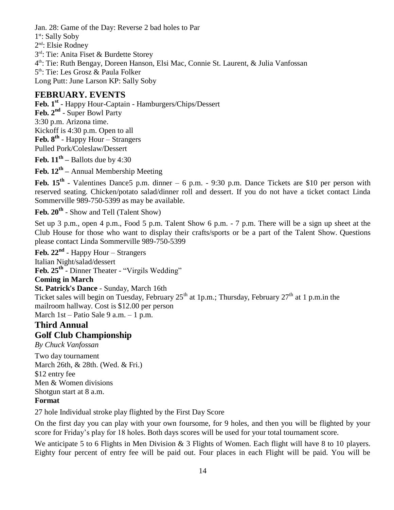Jan. 28: Game of the Day: Reverse 2 bad holes to Par 1<sup>st</sup>: Sally Soby 2 nd: Elsie Rodney 3<sup>rd</sup>: Tie: Anita Fiset & Burdette Storey 4 th: Tie: Ruth Bengay, Doreen Hanson, Elsi Mac, Connie St. Laurent, & Julia Vanfossan 5<sup>th</sup>: Tie: Les Grosz & Paula Folker Long Putt: June Larson KP: Sally Soby

#### **FEBRUARY. EVENTS**

**Feb. 1st** - Happy Hour-Captain - Hamburgers/Chips/Dessert **Feb. 2nd** - Super Bowl Party 3:30 p.m. Arizona time. Kickoff is 4:30 p.m. Open to all **Feb. 8th** - Happy Hour – Strangers Pulled Pork/Coleslaw/Dessert

**Feb. 11th –** Ballots due by 4:30

**Feb. 12th –** Annual Membership Meeting

Feb. 15<sup>th</sup> - Valentines Dance5 p.m. dinner – 6 p.m. - 9:30 p.m. Dance Tickets are \$10 per person with reserved seating. Chicken/potato salad/dinner roll and dessert. If you do not have a ticket contact Linda Sommerville 989-750-5399 as may be available.

**Feb. 20th** - Show and Tell (Talent Show)

Set up 3 p.m., open 4 p.m., Food 5 p.m. Talent Show 6 p.m. - 7 p.m. There will be a sign up sheet at the Club House for those who want to display their crafts/sports or be a part of the Talent Show. Questions please contact Linda Sommerville 989-750-5399

**Feb. 22nd** - Happy Hour – Strangers Italian Night/salad/dessert **Feb. 25th** - Dinner Theater - "Virgils Wedding"

**Coming in March**

**St. Patrick's Dance** - Sunday, March 16th Ticket sales will begin on Tuesday, February  $25<sup>th</sup>$  at 1p.m.; Thursday, February  $27<sup>th</sup>$  at 1p.m.in the mailroom hallway. Cost is \$12.00 per person March 1st – Patio Sale 9 a.m. – 1 p.m.

## **Third Annual Golf Club Championship**

*By Chuck Vanfossan*

Two day tournament March 26th, & 28th. (Wed. & Fri.) \$12 entry fee Men & Women divisions Shotgun start at 8 a.m. **Format**

27 hole Individual stroke play flighted by the First Day Score

On the first day you can play with your own foursome, for 9 holes, and then you will be flighted by your score for Friday's play for 18 holes. Both days scores will be used for your total tournament score.

We anticipate 5 to 6 Flights in Men Division & 3 Flights of Women. Each flight will have 8 to 10 players. Eighty four percent of entry fee will be paid out. Four places in each Flight will be paid. You will be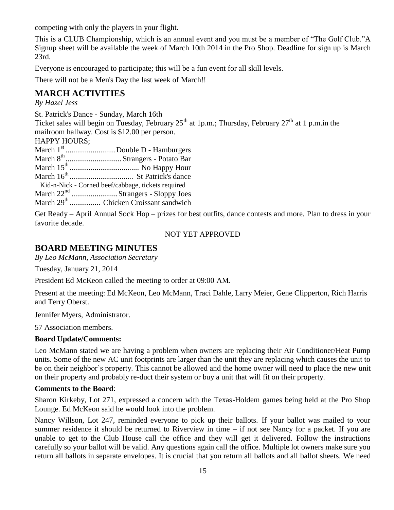competing with only the players in your flight.

This is a CLUB Championship, which is an annual event and you must be a member of "The Golf Club."A Signup sheet will be available the week of March 10th 2014 in the Pro Shop. Deadline for sign up is March 23rd.

Everyone is encouraged to participate; this will be a fun event for all skill levels.

There will not be a Men's Day the last week of March!!

# **MARCH ACTIVITIES**

*By Hazel Jess*

St. Patrick's Dance - Sunday, March 16th

Ticket sales will begin on Tuesday, February  $25<sup>th</sup>$  at 1p.m.; Thursday, February  $27<sup>th</sup>$  at 1p.m.in the mailroom hallway. Cost is \$12.00 per person.

 $H$ ADDV HOUDS;

| ПALL I ПUUN), |                                                    |
|---------------|----------------------------------------------------|
|               | March 1 <sup>st</sup> Double D - Hamburgers        |
|               | March 8 <sup>th</sup> Strangers - Potato Bar       |
|               |                                                    |
|               |                                                    |
|               | Kid-n-Nick - Corned beef/cabbage, tickets required |
|               | March 22 <sup>nd</sup> Strangers - Sloppy Joes     |
|               | March 29 <sup>th</sup> Chicken Croissant sandwich  |
|               |                                                    |

Get Ready – April Annual Sock Hop – prizes for best outfits, dance contests and more. Plan to dress in your favorite decade.

#### NOT YET APPROVED

#### **BOARD MEETING MINUTES**

*By Leo McMann, Association Secretary*

Tuesday, January 21, 2014

President Ed McKeon called the meeting to order at 09:00 AM.

Present at the meeting: Ed McKeon, Leo McMann, Traci Dahle, Larry Meier, Gene Clipperton, Rich Harris and Terry Oberst.

Jennifer Myers, Administrator.

57 Association members.

#### **Board Update/Comments:**

Leo McMann stated we are having a problem when owners are replacing their Air Conditioner/Heat Pump units. Some of the new AC unit footprints are larger than the unit they are replacing which causes the unit to be on their neighbor's property. This cannot be allowed and the home owner will need to place the new unit on their property and probably re-duct their system or buy a unit that will fit on their property.

#### **Comments to the Board**:

Sharon Kirkeby, Lot 271, expressed a concern with the Texas-Holdem games being held at the Pro Shop Lounge. Ed McKeon said he would look into the problem.

Nancy Willson, Lot 247, reminded everyone to pick up their ballots. If your ballot was mailed to your summer residence it should be returned to Riverview in time – if not see Nancy for a packet. If you are unable to get to the Club House call the office and they will get it delivered. Follow the instructions carefully so your ballot will be valid. Any questions again call the office. Multiple lot owners make sure you return all ballots in separate envelopes. It is crucial that you return all ballots and all ballot sheets. We need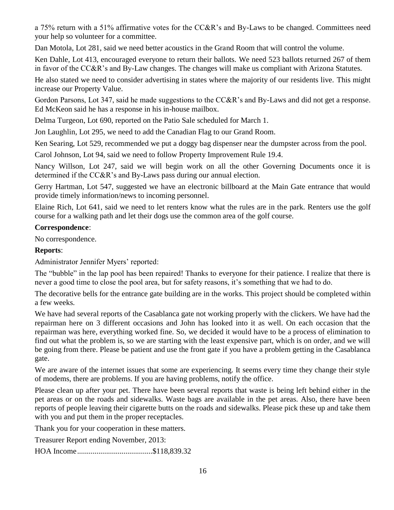a 75% return with a 51% affirmative votes for the CC&R's and By-Laws to be changed. Committees need your help so volunteer for a committee.

Dan Motola, Lot 281, said we need better acoustics in the Grand Room that will control the volume.

Ken Dahle, Lot 413, encouraged everyone to return their ballots. We need 523 ballots returned 267 of them in favor of the CC&R's and By-Law changes. The changes will make us compliant with Arizona Statutes.

He also stated we need to consider advertising in states where the majority of our residents live. This might increase our Property Value.

Gordon Parsons, Lot 347, said he made suggestions to the CC&R's and By-Laws and did not get a response. Ed McKeon said he has a response in his in-house mailbox.

Delma Turgeon, Lot 690, reported on the Patio Sale scheduled for March 1.

Jon Laughlin, Lot 295, we need to add the Canadian Flag to our Grand Room.

Ken Searing, Lot 529, recommended we put a doggy bag dispenser near the dumpster across from the pool.

Carol Johnson, Lot 94, said we need to follow Property Improvement Rule 19.4.

Nancy Willson, Lot 247, said we will begin work on all the other Governing Documents once it is determined if the CC&R's and By-Laws pass during our annual election.

Gerry Hartman, Lot 547, suggested we have an electronic billboard at the Main Gate entrance that would provide timely information/news to incoming personnel.

Elaine Rich, Lot 641, said we need to let renters know what the rules are in the park. Renters use the golf course for a walking path and let their dogs use the common area of the golf course.

#### **Correspondence**:

No correspondence.

#### **Reports**:

Administrator Jennifer Myers' reported:

The "bubble" in the lap pool has been repaired! Thanks to everyone for their patience. I realize that there is never a good time to close the pool area, but for safety reasons, it's something that we had to do.

The decorative bells for the entrance gate building are in the works. This project should be completed within a few weeks.

We have had several reports of the Casablanca gate not working properly with the clickers. We have had the repairman here on 3 different occasions and John has looked into it as well. On each occasion that the repairman was here, everything worked fine. So, we decided it would have to be a process of elimination to find out what the problem is, so we are starting with the least expensive part, which is on order, and we will be going from there. Please be patient and use the front gate if you have a problem getting in the Casablanca gate.

We are aware of the internet issues that some are experiencing. It seems every time they change their style of modems, there are problems. If you are having problems, notify the office.

Please clean up after your pet. There have been several reports that waste is being left behind either in the pet areas or on the roads and sidewalks. Waste bags are available in the pet areas. Also, there have been reports of people leaving their cigarette butts on the roads and sidewalks. Please pick these up and take them with you and put them in the proper receptacles.

Thank you for your cooperation in these matters.

Treasurer Report ending November, 2013:

HOA Income.......................................\$118,839.32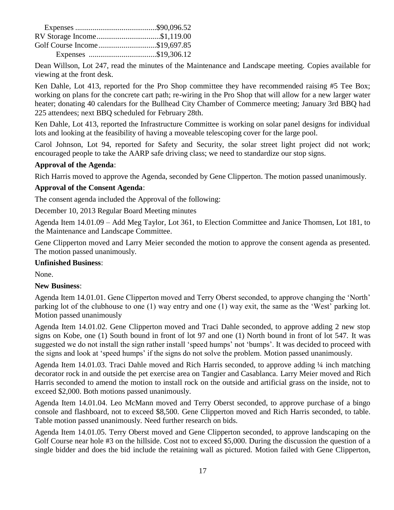| RV Storage Income\$1,119.00   |  |
|-------------------------------|--|
| Golf Course Income\$19,697.85 |  |
|                               |  |

Dean Willson, Lot 247, read the minutes of the Maintenance and Landscape meeting. Copies available for viewing at the front desk.

Ken Dahle, Lot 413, reported for the Pro Shop committee they have recommended raising #5 Tee Box; working on plans for the concrete cart path; re-wiring in the Pro Shop that will allow for a new larger water heater; donating 40 calendars for the Bullhead City Chamber of Commerce meeting; January 3rd BBQ had 225 attendees; next BBQ scheduled for February 28th.

Ken Dahle, Lot 413, reported the Infrastructure Committee is working on solar panel designs for individual lots and looking at the feasibility of having a moveable telescoping cover for the large pool.

Carol Johnson, Lot 94, reported for Safety and Security, the solar street light project did not work; encouraged people to take the AARP safe driving class; we need to standardize our stop signs.

#### **Approval of the Agenda**:

Rich Harris moved to approve the Agenda, seconded by Gene Clipperton. The motion passed unanimously.

#### **Approval of the Consent Agenda**:

The consent agenda included the Approval of the following:

December 10, 2013 Regular Board Meeting minutes

Agenda Item 14.01.09 – Add Meg Taylor, Lot 361, to Election Committee and Janice Thomsen, Lot 181, to the Maintenance and Landscape Committee.

Gene Clipperton moved and Larry Meier seconded the motion to approve the consent agenda as presented. The motion passed unanimously.

#### **Unfinished Business**:

None.

#### **New Business**:

Agenda Item 14.01.01. Gene Clipperton moved and Terry Oberst seconded, to approve changing the 'North' parking lot of the clubhouse to one (1) way entry and one (1) way exit, the same as the 'West' parking lot. Motion passed unanimously

Agenda Item 14.01.02. Gene Clipperton moved and Traci Dahle seconded, to approve adding 2 new stop signs on Kobe, one (1) South bound in front of lot 97 and one (1) North bound in front of lot 547. It was suggested we do not install the sign rather install 'speed humps' not 'bumps'. It was decided to proceed with the signs and look at 'speed humps' if the signs do not solve the problem. Motion passed unanimously.

Agenda Item 14.01.03. Traci Dahle moved and Rich Harris seconded, to approve adding  $\frac{1}{4}$  inch matching decorator rock in and outside the pet exercise area on Tangier and Casablanca. Larry Meier moved and Rich Harris seconded to amend the motion to install rock on the outside and artificial grass on the inside, not to exceed \$2,000. Both motions passed unanimously.

Agenda Item 14.01.04. Leo McMann moved and Terry Oberst seconded, to approve purchase of a bingo console and flashboard, not to exceed \$8,500. Gene Clipperton moved and Rich Harris seconded, to table. Table motion passed unanimously. Need further research on bids.

Agenda Item 14.01.05. Terry Oberst moved and Gene Clipperton seconded, to approve landscaping on the Golf Course near hole #3 on the hillside. Cost not to exceed \$5,000. During the discussion the question of a single bidder and does the bid include the retaining wall as pictured. Motion failed with Gene Clipperton,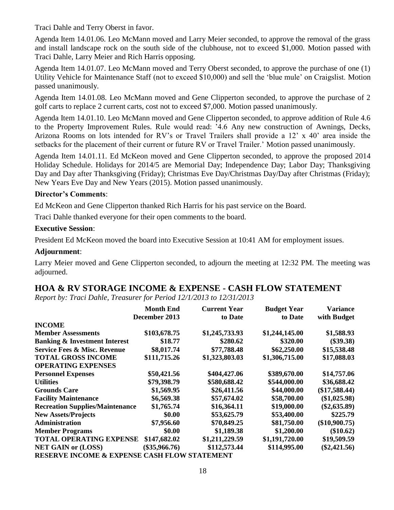Traci Dahle and Terry Oberst in favor.

Agenda Item 14.01.06. Leo McMann moved and Larry Meier seconded, to approve the removal of the grass and install landscape rock on the south side of the clubhouse, not to exceed \$1,000. Motion passed with Traci Dahle, Larry Meier and Rich Harris opposing.

Agenda Item 14.01.07. Leo McMann moved and Terry Oberst seconded, to approve the purchase of one (1) Utility Vehicle for Maintenance Staff (not to exceed \$10,000) and sell the 'blue mule' on Craigslist. Motion passed unanimously.

Agenda Item 14.01.08. Leo McMann moved and Gene Clipperton seconded, to approve the purchase of 2 golf carts to replace 2 current carts, cost not to exceed \$7,000. Motion passed unanimously.

Agenda Item 14.01.10. Leo McMann moved and Gene Clipperton seconded, to approve addition of Rule 4.6 to the Property Improvement Rules. Rule would read: '4.6 Any new construction of Awnings, Decks, Arizona Rooms on lots intended for RV's or Travel Trailers shall provide a 12' x 40' area inside the setbacks for the placement of their current or future RV or Travel Trailer.' Motion passed unanimously.

Agenda Item 14.01.11. Ed McKeon moved and Gene Clipperton seconded, to approve the proposed 2014 Holiday Schedule. Holidays for 2014/5 are Memorial Day; Independence Day; Labor Day; Thanksgiving Day and Day after Thanksgiving (Friday); Christmas Eve Day/Christmas Day/Day after Christmas (Friday); New Years Eve Day and New Years (2015). Motion passed unanimously.

#### **Director's Comments**:

Ed McKeon and Gene Clipperton thanked Rich Harris for his past service on the Board.

Traci Dahle thanked everyone for their open comments to the board.

#### **Executive Session**:

President Ed McKeon moved the board into Executive Session at 10:41 AM for employment issues.

#### **Adjournment**:

Larry Meier moved and Gene Clipperton seconded, to adjourn the meeting at 12:32 PM. The meeting was adjourned.

# **HOA & RV STORAGE INCOME & EXPENSE - CASH FLOW STATEMENT**

*Report by: Traci Dahle, Treasurer for Period 12/1/2013 to 12/31/2013*

|                                                          | <b>Month End</b> | <b>Current Year</b> | <b>Budget Year</b> | <b>Variance</b> |
|----------------------------------------------------------|------------------|---------------------|--------------------|-----------------|
|                                                          | December 2013    | to Date             | to Date            | with Budget     |
| <b>INCOME</b>                                            |                  |                     |                    |                 |
| <b>Member Assessments</b>                                | \$103,678.75     | \$1,245,733.93      | \$1,244,145.00     | \$1,588.93      |
| <b>Banking &amp; Investment Interest</b>                 | \$18.77          | \$280.62            | \$320.00           | $(\$39.38)$     |
| <b>Service Fees &amp; Misc. Revenue</b>                  | \$8,017.74       | \$77,788.48         | \$62,250.00        | \$15,538.48     |
| <b>TOTAL GROSS INCOME</b>                                | \$111,715.26     | \$1,323,803.03      | \$1,306,715.00     | \$17,088.03     |
| <b>OPERATING EXPENSES</b>                                |                  |                     |                    |                 |
| <b>Personnel Expenses</b>                                | \$50,421.56      | \$404,427.06        | \$389,670.00       | \$14,757.06     |
| <b>Utilities</b>                                         | \$79,398.79      | \$580,688.42        | \$544,000.00       | \$36,688.42     |
| <b>Grounds Care</b>                                      | \$1,569.95       | \$26,411.56         | \$44,000.00        | $(\$17,588.44)$ |
| <b>Facility Maintenance</b>                              | \$6,569.38       | \$57,674.02         | \$58,700.00        | (\$1,025.98)    |
| <b>Recreation Supplies/Maintenance</b>                   | \$1,765.74       | \$16,364.11         | \$19,000.00        | $(\$2,635.89)$  |
| <b>New Assets/Projects</b>                               | \$0.00           | \$53,625.79         | \$53,400.00        | \$225.79        |
| Administration                                           | \$7,956.60       | \$70,849.25         | \$81,750.00        | $(\$10,900.75)$ |
| <b>Member Programs</b>                                   | \$0.00           | \$1,189.38          | \$1,200.00         | (\$10.62)       |
| <b>TOTAL OPERATING EXPENSE</b>                           | \$147,682.02     | \$1,211,229.59      | \$1,191,720.00     | \$19,509.59     |
| <b>NET GAIN or (LOSS)</b>                                | $(\$35,966.76)$  | \$112,573.44        | \$114,995.00       | $(\$2,421.56)$  |
| <b>DESEDVE INCOME &amp; EXPENSE CASH EI OW STATEMENT</b> |                  |                     |                    |                 |

**RESERVE INCOME & EXPENSE CASH FLOW STATEMENT**